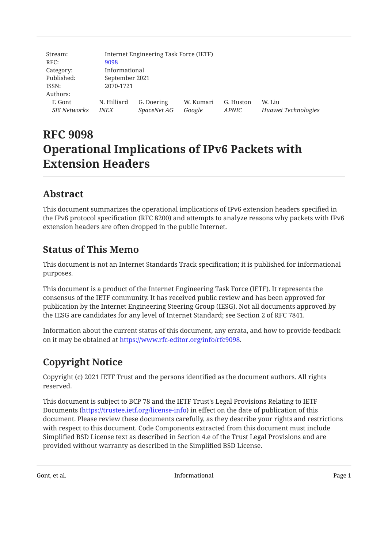| Stream:             | Internet Engineering Task Force (IETF) |             |           |           |                     |
|---------------------|----------------------------------------|-------------|-----------|-----------|---------------------|
| RFC:                | 9098                                   |             |           |           |                     |
| Category:           | Informational                          |             |           |           |                     |
| Published:          | September 2021                         |             |           |           |                     |
| ISSN:               | 2070-1721                              |             |           |           |                     |
| Authors:            |                                        |             |           |           |                     |
| F. Gont             | N. Hilliard                            | G. Doering  | W. Kumari | G. Huston | W. Liu              |
| <b>SI6 Networks</b> | <i>INEX</i>                            | SpaceNet AG | Google    | APNIC     | Huawei Technologies |

# **RFC 9098 Operational Implications of IPv6 Packets with Extension Headers**

## <span id="page-0-0"></span>**[Abstract](#page-0-0)**

This document summarizes the operational implications of IPv6 extension headers specified in the IPv6 protocol specification (RFC 8200) and attempts to analyze reasons why packets with IPv6 extension headers are often dropped in the public Internet.

## <span id="page-0-1"></span>**[Status of This Memo](#page-0-1)**

This document is not an Internet Standards Track specification; it is published for informational purposes.

This document is a product of the Internet Engineering Task Force (IETF). It represents the consensus of the IETF community. It has received public review and has been approved for publication by the Internet Engineering Steering Group (IESG). Not all documents approved by the IESG are candidates for any level of Internet Standard; see Section 2 of RFC 7841.

Information about the current status of this document, any errata, and how to provide feedback on it may be obtained at <https://www.rfc-editor.org/info/rfc9098>.

## <span id="page-0-2"></span>**[Copyright Notice](#page-0-2)**

Copyright (c) 2021 IETF Trust and the persons identified as the document authors. All rights reserved.

This document is subject to BCP 78 and the IETF Trust's Legal Provisions Relating to IETF Documents (<https://trustee.ietf.org/license-info>) in effect on the date of publication of this document. Please review these documents carefully, as they describe your rights and restrictions with respect to this document. Code Components extracted from this document must include Simplified BSD License text as described in Section 4.e of the Trust Legal Provisions and are provided without warranty as described in the Simplified BSD License.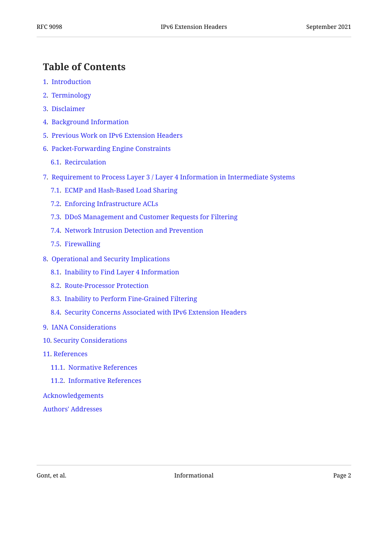## <span id="page-1-0"></span>**[Table of Contents](#page-1-0)**

- [1.](#page-2-0) [Introduction](#page-2-0)
- [2.](#page-2-1) [Terminology](#page-2-1)
- [3.](#page-2-2) [Disclaimer](#page-2-2)
- [4.](#page-2-3) [Background Information](#page-2-3)
- [5.](#page-4-0) [Previous Work on IPv6 Extension Headers](#page-4-0)
- [6.](#page-5-0) [Packet-Forwarding Engine Constraints](#page-5-0)
	- [6.1.](#page-6-0) [Recirculation](#page-6-0)
- [7.](#page-6-1) [Requirement to Process Layer 3 / Layer 4 Information in Intermediate Systems](#page-6-1)
	- [7.1.](#page-6-2) [ECMP and Hash-Based Load Sharing](#page-6-2)
	- [7.2.](#page-7-0) [Enforcing Infrastructure ACLs](#page-7-0)
	- [7.3.](#page-7-1) [DDoS Management and Customer Requests for Filtering](#page-7-1)
	- [7.4.](#page-8-0) [Network Intrusion Detection and Prevention](#page-8-0)
	- [7.5.](#page-8-1) [Firewalling](#page-8-1)
- [8.](#page-9-0) [Operational and Security Implications](#page-9-0)
	- [8.1.](#page-9-1) [Inability to Find Layer 4 Information](#page-9-1)
	- [8.2.](#page-9-2) [Route-Processor Protection](#page-9-2)
	- [8.3.](#page-10-0) [Inability to Perform Fine-Grained Filtering](#page-10-0)
	- [8.4.](#page-10-1) [Security Concerns Associated with IPv6 Extension Headers](#page-10-1)
- [9.](#page-11-0) [IANA Considerations](#page-11-0)
- [10](#page-11-1). [Security Considerations](#page-11-1)
- [11](#page-11-2). [References](#page-11-2)
	- [11.1](#page-11-3). [Normative References](#page-11-3)
	- [11.2](#page-12-0). [Informative References](#page-12-0)

#### [Acknowledgements](#page-15-0)

[Authors' Addresses](#page-15-1)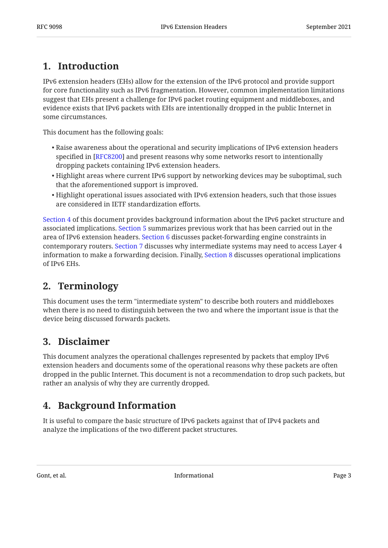## <span id="page-2-0"></span>**[1. Introduction](#page-2-0)**

IPv6 extension headers (EHs) allow for the extension of the IPv6 protocol and provide support for core functionality such as IPv6 fragmentation. However, common implementation limitations suggest that EHs present a challenge for IPv6 packet routing equipment and middleboxes, and evidence exists that IPv6 packets with EHs are intentionally dropped in the public Internet in some circumstances.

This document has the following goals:

- $\bullet$  Raise awareness about the operational and security implications of IPv6 extension headers specified in [RFC8200] and present reasons why some networks resort to intentionally dropping packets containing IPv6 extension headers.
- $\bullet$  Highlight areas where current IPv6 support by networking devices may be suboptimal, such that the aforementioned support is improved.
- $\bullet$  Highlight operational issues associated with IPv6 extension headers, such that those issues are considered in IETF standardization efforts.

[Section 4](#page-2-3) of this document provides background information about the IPv6 packet structure and associated implications. [Section 5](#page-4-0) summarizes previous work that has been carried out in the area of IPv6 extension headers. [Section 6](#page-5-0) discusses packet-forwarding engine constraints in contemporary routers. [Section 7](#page-6-1) discusses why intermediate systems may need to access Layer 4 information to make a forwarding decision. Finally, [Section 8](#page-9-0) discusses operational implications of IPv6 EHs.

## <span id="page-2-1"></span>**[2. Terminology](#page-2-1)**

This document uses the term "intermediate system" to describe both routers and middleboxes when there is no need to distinguish between the two and where the important issue is that the device being discussed forwards packets.

### <span id="page-2-2"></span>**[3. Disclaimer](#page-2-2)**

This document analyzes the operational challenges represented by packets that employ IPv6 extension headers and documents some of the operational reasons why these packets are often dropped in the public Internet. This document is not a recommendation to drop such packets, but rather an analysis of why they are currently dropped.

## <span id="page-2-3"></span>**[4. Background Information](#page-2-3)**

It is useful to compare the basic structure of IPv6 packets against that of IPv4 packets and analyze the implications of the two different packet structures.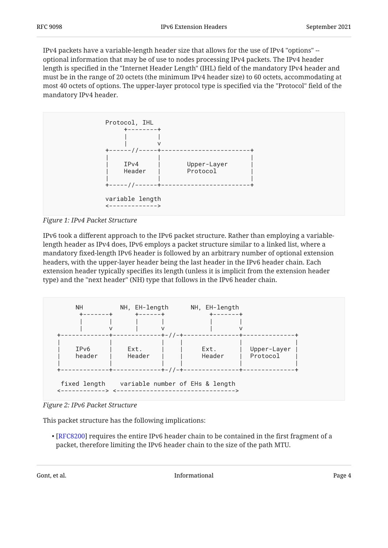IPv4 packets have a variable-length header size that allows for the use of IPv4 "options" - optional information that may be of use to nodes processing IPv4 packets. The IPv4 header length is specified in the "Internet Header Length" (IHL) field of the mandatory IPv4 header and must be in the range of 20 octets (the minimum IPv4 header size) to 60 octets, accommodating at most 40 octets of options. The upper-layer protocol type is specified via the "Protocol" field of the mandatory IPv4 header.

<span id="page-3-0"></span>

*[Figure 1: IPv4 Packet Structure](#page-3-0)* 

IPv6 took a different approach to the IPv6 packet structure. Rather than employing a variablelength header as IPv4 does, IPv6 employs a packet structure similar to a linked list, where a mandatory fixed-length IPv6 header is followed by an arbitrary number of optional extension headers, with the upper-layer header being the last header in the IPv6 header chain. Each extension header typically specifies its length (unless it is implicit from the extension header type) and the "next header" (NH) type that follows in the IPv6 header chain.

<span id="page-3-1"></span>

*[Figure 2: IPv6 Packet Structure](#page-3-1)* 

This packet structure has the following implications:

• [[RFC8200\]](#page-12-1) requires the entire IPv6 header chain to be contained in the first fragment of a packet, therefore limiting the IPv6 header chain to the size of the path MTU.

Gont, et al. **Informational Page 4 Contract Contract Contract Contract Contract Contract Contract Contract Contract Contract Contract Contract Contract Contract Contract Contract Contract Contract Contract Contract Con**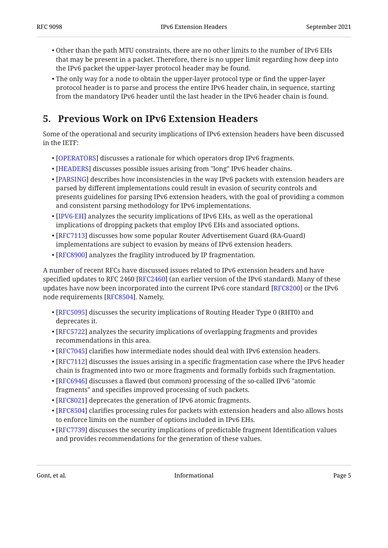- $\bullet$  Other than the path MTU constraints, there are no other limits to the number of IPv6 EHs that may be present in a packet. Therefore, there is no upper limit regarding how deep into the IPv6 packet the upper-layer protocol header may be found.
- The only way for a node to obtain the upper-layer protocol type or find the upper-layer protocol header is to parse and process the entire IPv6 header chain, in sequence, starting from the mandatory IPv6 header until the last header in the IPv6 header chain is found.

### <span id="page-4-0"></span>**[5. Previous Work on IPv6 Extension Headers](#page-4-0)**

Some of the operational and security implications of IPv6 extension headers have been discussed in the IETF:

- $\bullet$  [[OPERATORS\]](#page-13-0) discusses a rationale for which operators drop IPv6 fragments.
- $\bullet$  [[HEADERS\]](#page-13-1) discusses possible issues arising from "long" IPv6 header chains.
- $\bullet$  [[PARSING\]](#page-13-2) describes how inconsistencies in the way IPv6 packets with extension headers are parsed by different implementations could result in evasion of security controls and presents guidelines for parsing IPv6 extension headers, with the goal of providing a common and consistent parsing methodology for IPv6 implementations.
- $\bullet$  [[IPV6-EH\]](#page-13-3) analyzes the security implications of IPv6 EHs, as well as the operational implications of dropping packets that employ IPv6 EHs and associated options.
- $\bullet$  [[RFC7113\]](#page-14-0) discusses how some popular Router Advertisement Guard (RA-Guard) implementations are subject to evasion by means of IPv6 extension headers.
- $\bullet$  [[RFC8900\]](#page-14-1) analyzes the fragility introduced by IP fragmentation.

A number of recent RFCs have discussed issues related to IPv6 extension headers and have specified updates to RFC 2460 [RFC2460] (an earlier version of the IPv6 standard). Many of these updates have now been incorporated into the current IPv6 core standard [RFC8200] or the IPv6  $\,$ node requirements [RFC8504]. Namely,

- [[RFC5095\]](#page-11-4) discusses the security implications of Routing Header Type 0 (RHT0) and deprecates it.
- $\bullet$  [[RFC5722\]](#page-11-5) analyzes the security implications of overlapping fragments and provides recommendations in this area.
- $\bullet$  [[RFC7045\]](#page-14-3) clarifies how intermediate nodes should deal with IPv6 extension headers.
- $\bullet$  [[RFC7112\]](#page-12-3) discusses the issues arising in a specific fragmentation case where the IPv6 header chain is fragmented into two or more fragments and formally forbids such fragmentation.
- $\bullet$  [[RFC6946\]](#page-11-6) discusses a flawed (but common) processing of the so-called IPv6 "atomic fragments" and specifies improved processing of such packets.
- [[RFC8021\]](#page-12-4) deprecates the generation of IPv6 atomic fragments.
- $\bullet$  [[RFC8504\]](#page-12-2) clarifies processing rules for packets with extension headers and also allows hosts to enforce limits on the number of options included in IPv6 EHs.
- $\bullet$  [[RFC7739\]](#page-14-4) discusses the security implications of predictable fragment Identification values and provides recommendations for the generation of these values.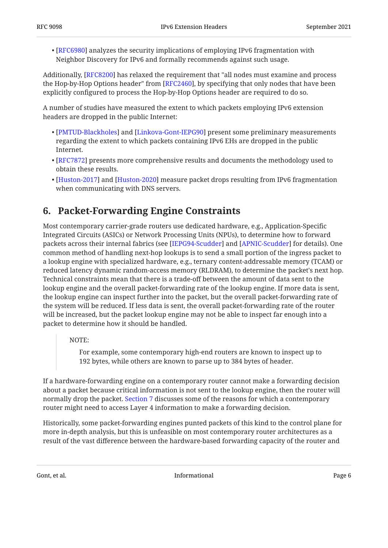$\bullet$  [[RFC6980\]](#page-11-7) analyzes the security implications of employing IPv6 fragmentation with Neighbor Discovery for IPv6 and formally recommends against such usage.

Additionally, [RFC8200] has relaxed the requirement that "all nodes must examine and process the Hop-by-Hop Options header" from [RFC2460], by specifying that only nodes that have been explicitly configured to process the Hop-by-Hop Options header are required to do so.

A number of studies have measured the extent to which packets employing IPv6 extension headers are dropped in the public Internet:

- $\bullet$  [[PMTUD-Blackholes\]](#page-14-5) and [Linkova-Gont-IEPG90] present some preliminary measurements regarding the extent to which packets containing IPv6 EHs are dropped in the public Internet.
- $\bullet$  [[RFC7872\]](#page-14-6) presents more comprehensive results and documents the methodology used to obtain these results.
- [[Huston-2017\]](#page-13-5) and [Huston-2020] measure packet drops resulting from IPv6 fragmentation when communicating with DNS servers.

## <span id="page-5-0"></span>**[6. Packet-Forwarding Engine Constraints](#page-5-0)**

Most contemporary carrier-grade routers use dedicated hardware, e.g., Application-Specific Integrated Circuits (ASICs) or Network Processing Units (NPUs), to determine how to forward packets across their internal fabrics (see [[IEPG94-Scudder](#page-13-7)] and [[APNIC-Scudder\]](#page-12-5) for details). One common method of handling next-hop lookups is to send a small portion of the ingress packet to a lookup engine with specialized hardware, e.g., ternary content-addressable memory (TCAM) or reduced latency dynamic random-access memory (RLDRAM), to determine the packet's next hop. Technical constraints mean that there is a trade-off between the amount of data sent to the lookup engine and the overall packet-forwarding rate of the lookup engine. If more data is sent, the lookup engine can inspect further into the packet, but the overall packet-forwarding rate of the system will be reduced. If less data is sent, the overall packet-forwarding rate of the router will be increased, but the packet lookup engine may not be able to inspect far enough into a packet to determine how it should be handled.

NOTE:

For example, some contemporary high-end routers are known to inspect up to 192 bytes, while others are known to parse up to 384 bytes of header.

If a hardware-forwarding engine on a contemporary router cannot make a forwarding decision about a packet because critical information is not sent to the lookup engine, then the router will normally drop the packet. [Section 7](#page-6-1) discusses some of the reasons for which a contemporary router might need to access Layer 4 information to make a forwarding decision.

Historically, some packet-forwarding engines punted packets of this kind to the control plane for more in-depth analysis, but this is unfeasible on most contemporary router architectures as a result of the vast difference between the hardware-based forwarding capacity of the router and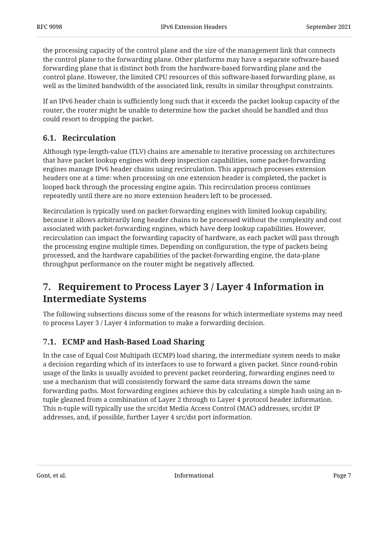the processing capacity of the control plane and the size of the management link that connects the control plane to the forwarding plane. Other platforms may have a separate software-based forwarding plane that is distinct both from the hardware-based forwarding plane and the control plane. However, the limited CPU resources of this software-based forwarding plane, as well as the limited bandwidth of the associated link, results in similar throughput constraints.

If an IPv6 header chain is sufficiently long such that it exceeds the packet lookup capacity of the router, the router might be unable to determine how the packet should be handled and thus could resort to dropping the packet.

### <span id="page-6-0"></span>**[6.1. Recirculation](#page-6-0)**

Although type-length-value (TLV) chains are amenable to iterative processing on architectures that have packet lookup engines with deep inspection capabilities, some packet-forwarding engines manage IPv6 header chains using recirculation. This approach processes extension headers one at a time: when processing on one extension header is completed, the packet is looped back through the processing engine again. This recirculation process continues repeatedly until there are no more extension headers left to be processed.

Recirculation is typically used on packet-forwarding engines with limited lookup capability, because it allows arbitrarily long header chains to be processed without the complexity and cost associated with packet-forwarding engines, which have deep lookup capabilities. However, recirculation can impact the forwarding capacity of hardware, as each packet will pass through the processing engine multiple times. Depending on configuration, the type of packets being processed, and the hardware capabilities of the packet-forwarding engine, the data-plane throughput performance on the router might be negatively affected.

## <span id="page-6-1"></span>**[7. Requirement to Process Layer 3 / Layer 4 Information in](#page-6-1) [Intermediate Systems](#page-6-1)**

The following subsections discuss some of the reasons for which intermediate systems may need to process Layer 3 / Layer 4 information to make a forwarding decision.

### <span id="page-6-2"></span>**[7.1. ECMP and Hash-Based Load Sharing](#page-6-2)**

In the case of Equal Cost Multipath (ECMP) load sharing, the intermediate system needs to make a decision regarding which of its interfaces to use to forward a given packet. Since round-robin usage of the links is usually avoided to prevent packet reordering, forwarding engines need to use a mechanism that will consistently forward the same data streams down the same forwarding paths. Most forwarding engines achieve this by calculating a simple hash using an ntuple gleaned from a combination of Layer 2 through to Layer 4 protocol header information. This n-tuple will typically use the src/dst Media Access Control (MAC) addresses, src/dst IP addresses, and, if possible, further Layer 4 src/dst port information.

Gont, et al. 2008 and 2008 and 2008 and 2008 and 2008 and 2008 and 2008 and 2008 and 2008 and 2008 and 2008 and 2008 and 2008 and 2008 and 2008 and 2008 and 2008 and 2008 and 2008 and 2008 and 2008 and 2008 and 2008 and 20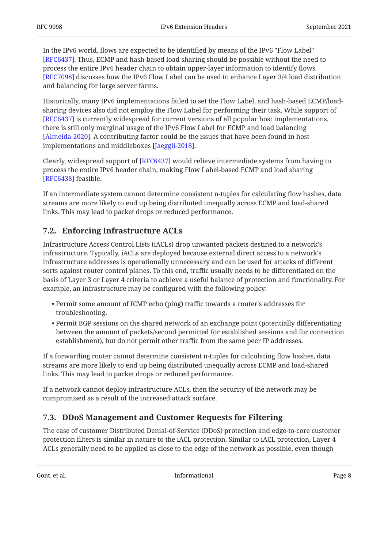In the IPv6 world, flows are expected to be identified by means of the IPv6 "Flow Label" [[RFC6437\]](#page-14-7). Thus, ECMP and hash-based load sharing should be possible without the need to process the entire IPv6 header chain to obtain upper-layer information to identify flows. [[RFC7098\]](#page-14-8) discusses how the IPv6 Flow Label can be used to enhance Layer 3/4 load distribution and balancing for large server farms.

Historically, many IPv6 implementations failed to set the Flow Label, and hash-based ECMP/loadsharing devices also did not employ the Flow Label for performing their task. While support of [[RFC6437\]](#page-14-7) is currently widespread for current versions of all popular host implementations, there is still only marginal usage of the IPv6 Flow Label for ECMP and load balancing [[Almeida-2020\]](#page-12-6). A contributing factor could be the issues that have been found in host implementations and middleboxes [Jaeggli-2018].

Clearly, widespread support of [RFC6437] would relieve intermediate systems from having to process the entire IPv6 header chain, making Flow Label-based ECMP and load sharing [[RFC6438\]](#page-14-9) feasible.

If an intermediate system cannot determine consistent n-tuples for calculating flow hashes, data streams are more likely to end up being distributed unequally across ECMP and load-shared links. This may lead to packet drops or reduced performance.

### <span id="page-7-0"></span>**[7.2. Enforcing Infrastructure ACLs](#page-7-0)**

Infrastructure Access Control Lists (iACLs) drop unwanted packets destined to a network's infrastructure. Typically, iACLs are deployed because external direct access to a network's infrastructure addresses is operationally unnecessary and can be used for attacks of different sorts against router control planes. To this end, traffic usually needs to be differentiated on the basis of Layer 3 or Layer 4 criteria to achieve a useful balance of protection and functionality. For example, an infrastructure may be configured with the following policy:

- Permit some amount of ICMP echo (ping) traffic towards a router's addresses for troubleshooting.
- $\bullet$  Permit BGP sessions on the shared network of an exchange point (potentially differentiating between the amount of packets/second permitted for established sessions and for connection establishment), but do not permit other traffic from the same peer IP addresses.

If a forwarding router cannot determine consistent n-tuples for calculating flow hashes, data streams are more likely to end up being distributed unequally across ECMP and load-shared links. This may lead to packet drops or reduced performance.

If a network cannot deploy infrastructure ACLs, then the security of the network may be compromised as a result of the increased attack surface.

### <span id="page-7-1"></span>**[7.3. DDoS Management and Customer Requests for Filtering](#page-7-1)**

The case of customer Distributed Denial-of-Service (DDoS) protection and edge-to-core customer protection filters is similar in nature to the iACL protection. Similar to iACL protection, Layer 4 ACLs generally need to be applied as close to the edge of the network as possible, even though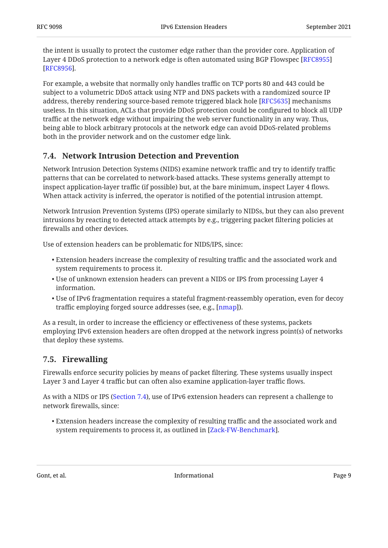the intent is usually to protect the customer edge rather than the provider core. Application of Layer 4 DDoS protection to a network edge is often automated using BGP Flowspec [\[RFC8955](#page-15-2)] . [[RFC8956\]](#page-15-3)

For example, a website that normally only handles traffic on TCP ports 80 and 443 could be subject to a volumetric DDoS attack using NTP and DNS packets with a randomized source IP address, thereby rendering source-based remote triggered black hole [RFC5635] mechanisms useless. In this situation, ACLs that provide DDoS protection could be configured to block all UDP traffic at the network edge without impairing the web server functionality in any way. Thus, being able to block arbitrary protocols at the network edge can avoid DDoS-related problems both in the provider network and on the customer edge link.

### <span id="page-8-0"></span>**[7.4. Network Intrusion Detection and Prevention](#page-8-0)**

Network Intrusion Detection Systems (NIDS) examine network traffic and try to identify traffic patterns that can be correlated to network-based attacks. These systems generally attempt to inspect application-layer traffic (if possible) but, at the bare minimum, inspect Layer 4 flows. When attack activity is inferred, the operator is notified of the potential intrusion attempt.

Network Intrusion Prevention Systems (IPS) operate similarly to NIDSs, but they can also prevent intrusions by reacting to detected attack attempts by e.g., triggering packet filtering policies at firewalls and other devices.

Use of extension headers can be problematic for NIDS/IPS, since:

- $\bullet$  Extension headers increase the complexity of resulting traffic and the associated work and system requirements to process it.
- $\bullet$  Use of unknown extension headers can prevent a NIDS or IPS from processing Layer  $4$ information.
- $\bullet$  Use of IPv6 fragmentation requires a stateful fragment-reassembly operation, even for decoy traffic employing forged source addresses (see, e.g., [\[nmap](#page-13-9)]).

As a result, in order to increase the efficiency or effectiveness of these systems, packets employing IPv6 extension headers are often dropped at the network ingress point(s) of networks that deploy these systems.

#### <span id="page-8-1"></span>**[7.5. Firewalling](#page-8-1)**

Firewalls enforce security policies by means of packet filtering. These systems usually inspect Layer 3 and Layer 4 traffic but can often also examine application-layer traffic flows.

As with a NIDS or IPS [\(Section 7.4](#page-8-0)), use of IPv6 extension headers can represent a challenge to network firewalls, since:

Extension headers increase the complexity of resulting traffic and the associated work and • system requirements to process it, as outlined in [\[Zack-FW-Benchmark](#page-15-4)].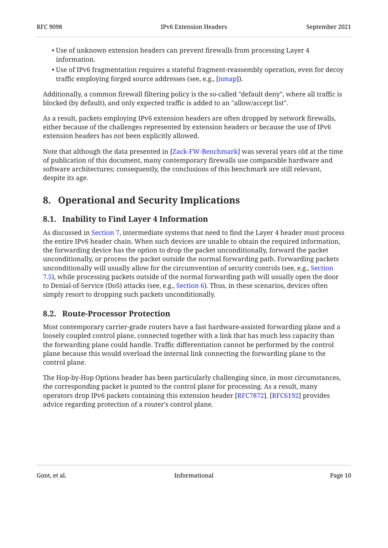- $\bullet$  Use of unknown extension headers can prevent firewalls from processing Layer 4  $\,$ information.
- $\bullet$  Use of IPv6 fragmentation requires a stateful fragment-reassembly operation, even for decoy traffic employing forged source addresses (see, e.g., [nmap]).

Additionally, a common firewall filtering policy is the so-called "default deny", where all traffic is blocked (by default), and only expected traffic is added to an "allow/accept list".

As a result, packets employing IPv6 extension headers are often dropped by network firewalls, either because of the challenges represented by extension headers or because the use of IPv6 extension headers has not been explicitly allowed.

Note that although the data presented in [Zack-FW-Benchmark] was several years old at the time of publication of this document, many contemporary firewalls use comparable hardware and software architectures; consequently, the conclusions of this benchmark are still relevant, despite its age.

## <span id="page-9-1"></span><span id="page-9-0"></span>**[8. Operational and Security Implications](#page-9-0)**

### **[8.1. Inability to Find Layer 4 Information](#page-9-1)**

As discussed in [Section 7,](#page-6-1) intermediate systems that need to find the Layer 4 header must process the entire IPv6 header chain. When such devices are unable to obtain the required information, the forwarding device has the option to drop the packet unconditionally, forward the packet unconditionally, or process the packet outside the normal forwarding path. Forwarding packets unconditionally will usually allow for the circumvention of security controls (see, e.g., [Section](#page-8-1) [7.5\)](#page-8-1), while processing packets outside of the normal forwarding path will usually open the door to Denial-of-Service (DoS) attacks (see, e.g., [Section 6\)](#page-5-0). Thus, in these scenarios, devices often simply resort to dropping such packets unconditionally.

### <span id="page-9-2"></span>**[8.2. Route-Processor Protection](#page-9-2)**

Most contemporary carrier-grade routers have a fast hardware-assisted forwarding plane and a loosely coupled control plane, connected together with a link that has much less capacity than the forwarding plane could handle. Traffic differentiation cannot be performed by the control plane because this would overload the internal link connecting the forwarding plane to the control plane.

The Hop-by-Hop Options header has been particularly challenging since, in most circumstances, the corresponding packet is punted to the control plane for processing. As a result, many operators drop IPv6 packets containing this extension header [\[RFC7872](#page-14-6)]. [[RFC6192\]](#page-14-11) provides advice regarding protection of a router's control plane.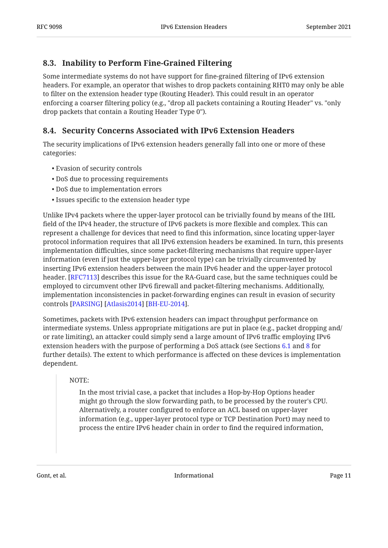#### <span id="page-10-0"></span>**[8.3. Inability to Perform Fine-Grained Filtering](#page-10-0)**

Some intermediate systems do not have support for fine-grained filtering of IPv6 extension headers. For example, an operator that wishes to drop packets containing RHT0 may only be able to filter on the extension header type (Routing Header). This could result in an operator enforcing a coarser filtering policy (e.g., "drop all packets containing a Routing Header" vs. "only drop packets that contain a Routing Header Type 0").

### <span id="page-10-1"></span>**[8.4. Security Concerns Associated with IPv6 Extension Headers](#page-10-1)**

The security implications of IPv6 extension headers generally fall into one or more of these categories:

- Evasion of security controls •
- DoS due to processing requirements •
- DoS due to implementation errors •
- Issues specific to the extension header type •

Unlike IPv4 packets where the upper-layer protocol can be trivially found by means of the IHL field of the IPv4 header, the structure of IPv6 packets is more flexible and complex. This can represent a challenge for devices that need to find this information, since locating upper-layer protocol information requires that all IPv6 extension headers be examined. In turn, this presents implementation difficulties, since some packet-filtering mechanisms that require upper-layer information (even if just the upper-layer protocol type) can be trivially circumvented by inserting IPv6 extension headers between the main IPv6 header and the upper-layer protocol header. [\[RFC7113](#page-14-0)] describes this issue for the RA-Guard case, but the same techniques could be employed to circumvent other IPv6 firewall and packet-filtering mechanisms. Additionally, implementation inconsistencies in packet-forwarding engines can result in evasion of security controls [[PARSING\]](#page-13-2) [[Atlasis2014\]](#page-12-7) [\[BH-EU-2014](#page-12-8)].

Sometimes, packets with IPv6 extension headers can impact throughput performance on intermediate systems. Unless appropriate mitigations are put in place (e.g., packet dropping and/ or rate limiting), an attacker could simply send a large amount of IPv6 traffic employing IPv6 extension headers with the purpose of performing a DoS attack (see Sections [6.1](#page-6-0) and [8](#page-9-0) for further details). The extent to which performance is affected on these devices is implementation dependent.

#### NOTE:

In the most trivial case, a packet that includes a Hop-by-Hop Options header might go through the slow forwarding path, to be processed by the router's CPU. Alternatively, a router configured to enforce an ACL based on upper-layer information (e.g., upper-layer protocol type or TCP Destination Port) may need to process the entire IPv6 header chain in order to find the required information,

Gont, et al. **Informational Contract Contract Contract Contract Contract Contract Contract Contract Contract Contract Contract Contract Contract Contract Contract Contract Contract Contract Contract Contract Contract Con**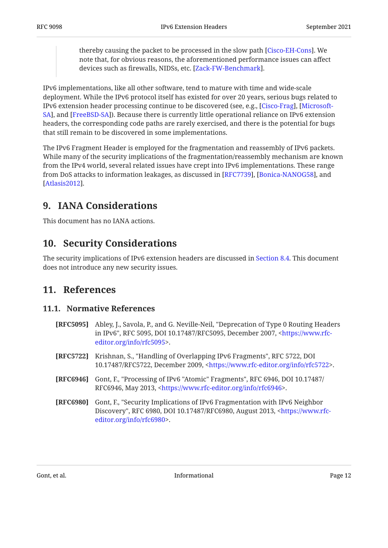thereby causing the packet to be processed in the slow path [Cisco-EH-Cons]. We note that, for obvious reasons, the aforementioned performance issues can affect devices such as firewalls, NIDSs, etc. [Zack-FW-Benchmark].

IPv6 implementations, like all other software, tend to mature with time and wide-scale deployment. While the IPv6 protocol itself has existed for over 20 years, serious bugs related to IPv6 extension header processing continue to be discovered (see, e.g., [Cisco-Frag], [[Microsoft-](#page-13-10)[SA](#page-13-10)], and [FreeBSD-SA]). Because there is currently little operational reliance on IPv6 extension headers, the corresponding code paths are rarely exercised, and there is the potential for bugs that still remain to be discovered in some implementations.

The IPv6 Fragment Header is employed for the fragmentation and reassembly of IPv6 packets. While many of the security implications of the fragmentation/reassembly mechanism are known from the IPv4 world, several related issues have crept into IPv6 implementations. These range from DoS attacks to information leakages, as discussed in [RFC7739], [Bonica-NANOG58], and . [[Atlasis2012\]](#page-12-12)

## <span id="page-11-0"></span>**[9. IANA Considerations](#page-11-0)**

<span id="page-11-1"></span>This document has no IANA actions.

## **[10. Security Considerations](#page-11-1)**

<span id="page-11-2"></span>The security implications of IPv6 extension headers are discussed in [Section 8.4.](#page-10-1) This document does not introduce any new security issues.

### <span id="page-11-3"></span>**[11. References](#page-11-2)**

#### **[11.1. Normative References](#page-11-3)**

- <span id="page-11-4"></span>**[RFC5095]** Abley, J., Savola, P., and G. Neville-Neil, "Deprecation of Type 0 Routing Headers in IPv6", RFC 5095, DOI 10.17487/RFC5095, December 2007, <[https://www.rfc-](https://www.rfc-editor.org/info/rfc5095). [editor.org/info/rfc5095>](https://www.rfc-editor.org/info/rfc5095)
- <span id="page-11-5"></span>**[RFC5722]** Krishnan, S., "Handling of Overlapping IPv6 Fragments", RFC 5722, DOI 10.17487/RFC5722, December 2009, <[https://www.rfc-editor.org/info/rfc5722>](https://www.rfc-editor.org/info/rfc5722).
- <span id="page-11-6"></span>**[RFC6946]** Gont, F., "Processing of IPv6 "Atomic" Fragments", RFC 6946, DOI 10.17487/ RFC6946, May 2013, <https://www.rfc-editor.org/info/rfc6946>.
- <span id="page-11-7"></span>**[RFC6980]** , Gont, F. "Security Implications of IPv6 Fragmentation with IPv6 Neighbor Discovery", RFC 6980, DOI 10.17487/RFC6980, August 2013, [<https://www.rfc-](https://www.rfc-editor.org/info/rfc6980). [editor.org/info/rfc6980>](https://www.rfc-editor.org/info/rfc6980)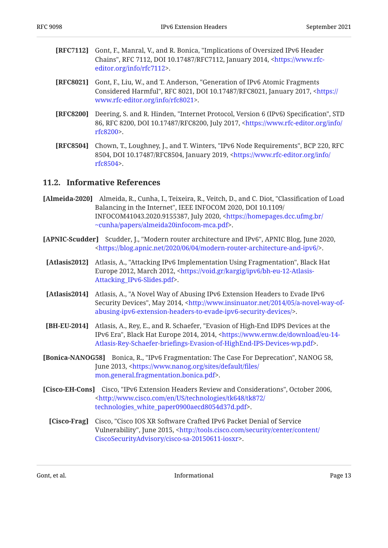<span id="page-12-3"></span>

| <b>[RFC7112]</b> Gont, F., Manral, V., and R. Bonica, "Implications of Oversized IPv6 Header |
|----------------------------------------------------------------------------------------------|
| Chains", RFC 7112, DOI 10.17487/RFC7112, January 2014, <https: th="" www.rfc-<=""></https:>  |
| editor.org/info/rfc7112>.                                                                    |

- <span id="page-12-4"></span>**[RFC8021]** Gont, F., Liu, W., and T. Anderson, "Generation of IPv6 Atomic Fragments Considered Harmful", RFC 8021, DOI 10.17487/RFC8021, January 2017, [<https://](https://www.rfc-editor.org/info/rfc8021) . [www.rfc-editor.org/info/rfc8021>](https://www.rfc-editor.org/info/rfc8021)
- <span id="page-12-1"></span>**[RFC8200]** Deering, S. and R. Hinden, "Internet Protocol, Version 6 (IPv6) Specification", STD 86, RFC 8200, DOI 10.17487/RFC8200, July 2017, <[https://www.rfc-editor.org/info/](https://www.rfc-editor.org/info/rfc8200) . [rfc8200>](https://www.rfc-editor.org/info/rfc8200)
- <span id="page-12-2"></span>**[RFC8504]** Chown, T., Loughney, J., and T. Winters, "IPv6 Node Requirements", BCP 220, RFC 8504, DOI 10.17487/RFC8504, January 2019, <[https://www.rfc-editor.org/info/](https://www.rfc-editor.org/info/rfc8504) . [rfc8504>](https://www.rfc-editor.org/info/rfc8504)

#### <span id="page-12-0"></span>**[11.2. Informative References](#page-12-0)**

- <span id="page-12-6"></span>[Almeida-2020] Almeida, R., Cunha, I., Teixeira, R., Veitch, D., and C. Diot, "Classification of Load Balancing in the Internet", IEEE INFOCOM 2020, DOI 10.1109/ INFOCOM41043.2020.9155387, July 2020, [<https://homepages.dcc.ufmg.br/](https://homepages.dcc.ufmg.br/~cunha/papers/almeida20infocom-mca.pdf) . [~cunha/papers/almeida20infocom-mca.pdf>](https://homepages.dcc.ufmg.br/~cunha/papers/almeida20infocom-mca.pdf)
- <span id="page-12-5"></span>**[APNIC-Scudder]** Scudder, J., "Modern router architecture and IPv6", APNIC Blog, June 2020, . [<https://blog.apnic.net/2020/06/04/modern-router-architecture-and-ipv6/](https://blog.apnic.net/2020/06/04/modern-router-architecture-and-ipv6/)>
- <span id="page-12-12"></span>**[Atlasis2012]** Atlasis, A., "Attacking IPv6 Implementation Using Fragmentation", Black Hat Europe 2012, March 2012, [<https://void.gr/kargig/ipv6/bh-eu-12-Atlasis-](https://void.gr/kargig/ipv6/bh-eu-12-Atlasis-Attacking_IPv6-Slides.pdf). [Attacking\\_IPv6-Slides.pdf>](https://void.gr/kargig/ipv6/bh-eu-12-Atlasis-Attacking_IPv6-Slides.pdf)
- <span id="page-12-7"></span>**[Atlasis2014]** Atlasis, A., "A Novel Way of Abusing IPv6 Extension Headers to Evade IPv6 Security Devices", May 2014, [<http://www.insinuator.net/2014/05/a-novel-way-of-](http://www.insinuator.net/2014/05/a-novel-way-of-abusing-ipv6-extension-headers-to-evade-ipv6-security-devices/). [abusing-ipv6-extension-headers-to-evade-ipv6-security-devices/](http://www.insinuator.net/2014/05/a-novel-way-of-abusing-ipv6-extension-headers-to-evade-ipv6-security-devices/)>
- <span id="page-12-8"></span>**[BH-EU-2014]** Atlasis, A., Rey, E., and R. Schaefer, "Evasion of High-End IDPS Devices at the IPv6 Era", Black Hat Europe 2014, 2014, <[https://www.ernw.de/download/eu-14-](https://www.ernw.de/download/eu-14-Atlasis-Rey-Schaefer-briefings-Evasion-of-HighEnd-IPS-Devices-wp.pdf) . Atlasis-Rey-Schaefer-briefi[ngs-Evasion-of-HighEnd-IPS-Devices-wp.pdf](https://www.ernw.de/download/eu-14-Atlasis-Rey-Schaefer-briefings-Evasion-of-HighEnd-IPS-Devices-wp.pdf)>
- <span id="page-12-11"></span>**[Bonica-NANOG58]** Bonica, R., "IPv6 Fragmentation: The Case For Deprecation", NANOG 58, June 2013, [<https://www.nanog.org/sites/default/](https://www.nanog.org/sites/default/files/mon.general.fragmentation.bonica.pdf)files/ . [mon.general.fragmentation.bonica.pdf>](https://www.nanog.org/sites/default/files/mon.general.fragmentation.bonica.pdf)
- <span id="page-12-10"></span><span id="page-12-9"></span>**[Cisco-EH-Cons]** Cisco, "IPv6 Extension Headers Review and Considerations", October 2006, . [technologies\\_white\\_paper0900aecd8054d37d.pdf>](http://www.cisco.com/en/US/technologies/tk648/tk872/technologies_white_paper0900aecd8054d37d.pdf) [<http://www.cisco.com/en/US/technologies/tk648/tk872/](http://www.cisco.com/en/US/technologies/tk648/tk872/technologies_white_paper0900aecd8054d37d.pdf)
	- **[Cisco-Frag]** Cisco, "Cisco IOS XR Software Crafted IPv6 Packet Denial of Service Vulnerability", June 2015, [<http://tools.cisco.com/security/center/content/](http://tools.cisco.com/security/center/content/CiscoSecurityAdvisory/cisco-sa-20150611-iosxr) . [CiscoSecurityAdvisory/cisco-sa-20150611-iosxr](http://tools.cisco.com/security/center/content/CiscoSecurityAdvisory/cisco-sa-20150611-iosxr)>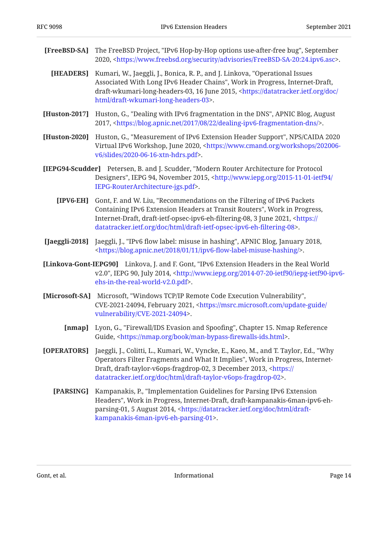<span id="page-13-11"></span><span id="page-13-8"></span><span id="page-13-7"></span><span id="page-13-6"></span><span id="page-13-5"></span><span id="page-13-3"></span><span id="page-13-1"></span>

| [FreeBSD-SA]   | The FreeBSD Project, "IPv6 Hop-by-Hop options use-after-free bug", September<br>2020, <https: advisories="" freebsd-sa-20:24.ipv6.asc="" security="" www.freebsd.org="">.</https:>                                                                                                                                         |
|----------------|----------------------------------------------------------------------------------------------------------------------------------------------------------------------------------------------------------------------------------------------------------------------------------------------------------------------------|
| [HEADERS]      | Kumari, W., Jaeggli, J., Bonica, R. P., and J. Linkova, "Operational Issues<br>Associated With Long IPv6 Header Chains", Work in Progress, Internet-Draft,<br>draft-wkumari-long-headers-03, 16 June 2015, <https: <br="" datatracker.ietf.org="" doc="">html/draft-wkumari-long-headers-03&gt;.</https:>                  |
| [Huston-2017]  | Huston, G., "Dealing with IPv6 fragmentation in the DNS", APNIC Blog, August<br>2017, <https: 08="" 2017="" 22="" blog.apnic.net="" dealing-ipv6-fragmentation-dns=""></https:> .                                                                                                                                          |
| [Huston-2020]  | Huston, G., "Measurement of IPv6 Extension Header Support", NPS/CAIDA 2020<br>Virtual IPv6 Workshop, June 2020, <https: 202006-<br="" workshops="" www.cmand.org="">v6/slides/2020-06-16-xtn-hdrs.pdf&gt;.</https:>                                                                                                        |
|                | [IEPG94-Scudder] Petersen, B. and J. Scudder, "Modern Router Architecture for Protocol<br>Designers", IEPG 94, November 2015, <http: 2015-11-01-ietf94="" <br="" www.iepg.org="">IEPG-RouterArchitecture-jgs.pdf&gt;.</http:>                                                                                              |
| $[IPV6-EH]$    | Gont, F. and W. Liu, "Recommendations on the Filtering of IPv6 Packets<br>Containing IPv6 Extension Headers at Transit Routers", Work in Progress,<br>Internet-Draft, draft-ietf-opsec-ipv6-eh-filtering-08, 3 June 2021, <https: <br="">datatracker.ietf.org/doc/html/draft-ietf-opsec-ipv6-eh-filtering-08&gt;.</https:> |
| [Jaeggli-2018] | Jaeggli, J., "IPv6 flow label: misuse in hashing", APNIC Blog, January 2018,<br><https: 01="" 11="" 2018="" blog.apnic.net="" ipv6-flow-label-misuse-hashing=""></https:> .                                                                                                                                                |
|                | [Linkova-Gont-IEPG90] Linkova, J. and F. Gont, "IPv6 Extension Headers in the Real World<br>v2.0", IEPG 90, July 2014, <http: 2014-07-20-ietf90="" iepg-ietf90-ipv6-<br="" www.iepg.org="">ehs-in-the-real-world-v2.0.pdf&gt;.</http:>                                                                                     |
| [Microsoft-SA] | Microsoft, "Windows TCP/IP Remote Code Execution Vulnerability",<br>CVE-2021-24094, February 2021, <https: <br="" msrc.microsoft.com="" update-guide="">vulnerability/CVE-2021-24094&gt;.</https:>                                                                                                                         |
| [nmap]         | Lyon, G., "Firewall/IDS Evasion and Spoofing", Chapter 15. Nmap Reference<br>Guide, <https: book="" man-bypass-firewalls-ids.html="" nmap.org="">.</https:>                                                                                                                                                                |
| [OPERATORS]    | Jaeggli, J., Colitti, L., Kumari, W., Vyncke, E., Kaeo, M., and T. Taylor, Ed., "Why<br>Operators Filter Fragments and What It Implies", Work in Progress, Internet-<br>Draft, draft-taylor-v6ops-fragdrop-02, 3 December 2013, <https: <br="">datatracker.ietf.org/doc/html/draft-taylor-v6ops-fragdrop-02&gt;.</https:>  |
| [PARSING]      | Kampanakis, P., "Implementation Guidelines for Parsing IPv6 Extension<br>Headers", Work in Progress, Internet-Draft, draft-kampanakis-6man-ipv6-eh-<br>parsing-01, 5 August 2014, <https: datatracker.ietf.org="" doc="" draft-<br="" html="">kampanakis-6man-ipv6-eh-parsing-01&gt;.</https:>                             |
|                |                                                                                                                                                                                                                                                                                                                            |

<span id="page-13-10"></span><span id="page-13-9"></span><span id="page-13-4"></span><span id="page-13-2"></span><span id="page-13-0"></span>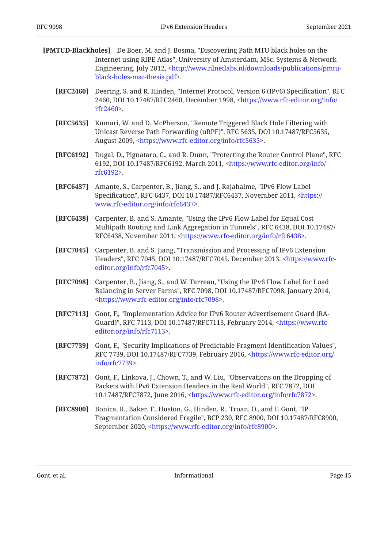- <span id="page-14-11"></span><span id="page-14-10"></span><span id="page-14-9"></span><span id="page-14-7"></span><span id="page-14-5"></span><span id="page-14-3"></span><span id="page-14-2"></span>**[PMTUD-Blackholes]** De Boer, M. and J. Bosma, "Discovering Path MTU black holes on the Internet using RIPE Atlas", University of Amsterdam, MSc. Systems & Network Engineering, July 2012, [<http://www.nlnetlabs.nl/downloads/publications/pmtu-](http://www.nlnetlabs.nl/downloads/publications/pmtu-black-holes-msc-thesis.pdf). [black-holes-msc-thesis.pdf>](http://www.nlnetlabs.nl/downloads/publications/pmtu-black-holes-msc-thesis.pdf)
	- **[RFC2460]** Deering, S. and R. Hinden, "Internet Protocol, Version 6 (IPv6) Specification", RFC 2460, DOI 10.17487/RFC2460, December 1998, [<https://www.rfc-editor.org/info/](https://www.rfc-editor.org/info/rfc2460) . [rfc2460>](https://www.rfc-editor.org/info/rfc2460)
	- **[RFC5635]** Kumari, W. and D. McPherson, "Remote Triggered Black Hole Filtering with Unicast Reverse Path Forwarding (uRPF)", RFC 5635, DOI 10.17487/RFC5635, August 2009, <https://www.rfc-editor.org/info/rfc5635>.
	- **[RFC6192]** Dugal, D., Pignataro, C., and R. Dunn, "Protecting the Router Control Plane", RFC 6192, DOI 10.17487/RFC6192, March 2011, <[https://www.rfc-editor.org/info/](https://www.rfc-editor.org/info/rfc6192) . [rfc6192>](https://www.rfc-editor.org/info/rfc6192)
	- **[RFC6437]** Amante, S., Carpenter, B., Jiang, S., and J. Rajahalme, "IPv6 Flow Label Specification", RFC 6437, DOI 10.17487/RFC6437, November 2011, <[https://](https://www.rfc-editor.org/info/rfc6437) . [www.rfc-editor.org/info/rfc6437>](https://www.rfc-editor.org/info/rfc6437)
	- **[RFC6438]** Carpenter, B. and S. Amante, "Using the IPv6 Flow Label for Equal Cost , , Multipath Routing and Link Aggregation in Tunnels" RFC 6438 DOI 10.17487/ RFC6438, November 2011, <<https://www.rfc-editor.org/info/rfc6438>>.
	- **[RFC7045]** Carpenter, B. and S. Jiang, "Transmission and Processing of IPv6 Extension Headers", RFC 7045, DOI 10.17487/RFC7045, December 2013, [<https://www.rfc-](https://www.rfc-editor.org/info/rfc7045). [editor.org/info/rfc7045>](https://www.rfc-editor.org/info/rfc7045)
	- **[RFC7098]** Carpenter, B., Jiang, S., and W. Tarreau, "Using the IPv6 Flow Label for Load Balancing in Server Farms", RFC 7098, DOI 10.17487/RFC7098, January 2014, . [<https://www.rfc-editor.org/info/rfc7098](https://www.rfc-editor.org/info/rfc7098)>
	- **[RFC7113]** , Gont, F. "Implementation Advice for IPv6 Router Advertisement Guard (RA-Guard)", RFC 7113, DOI 10.17487/RFC7113, February 2014, [<https://www.rfc-](https://www.rfc-editor.org/info/rfc7113). [editor.org/info/rfc7113>](https://www.rfc-editor.org/info/rfc7113)
	- **[RFC7739]** Gont, F., "Security Implications of Predictable Fragment Identification Values", RFC 7739, DOI 10.17487/RFC7739, February 2016, <[https://www.rfc-editor.org/](https://www.rfc-editor.org/info/rfc7739) . [info/rfc7739>](https://www.rfc-editor.org/info/rfc7739)
	- **[RFC7872]** Gont, F., Linkova, J., Chown, T., and W. Liu, "Observations on the Dropping of Packets with IPv6 Extension Headers in the Real World", RFC 7872, DOI 10.17487/RFC7872, June 2016, <<https://www.rfc-editor.org/info/rfc7872>>.
	- **[RFC8900]** Bonica, R., Baker, F., Huston, G., Hinden, R., Troan, O., and F. Gont, "IP Fragmentation Considered Fragile", BCP 230, RFC 8900, DOI 10.17487/RFC8900, September 2020, [<https://www.rfc-editor.org/info/rfc8900](https://www.rfc-editor.org/info/rfc8900)>.

<span id="page-14-8"></span><span id="page-14-6"></span><span id="page-14-4"></span><span id="page-14-1"></span><span id="page-14-0"></span>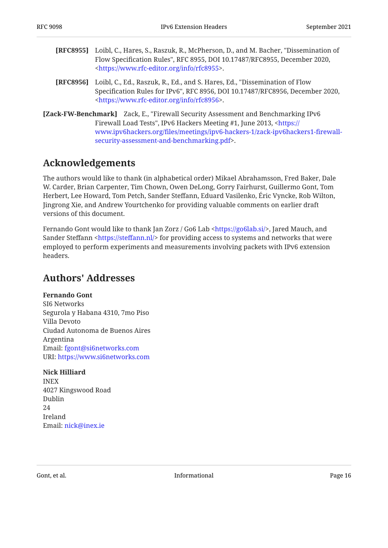- <span id="page-15-2"></span>**[RFC8955]** Loibl, C., Hares, S., Raszuk, R., McPherson, D., and M. Bacher, "Dissemination of Flow Specification Rules", RFC 8955, DOI 10.17487/RFC8955, December 2020, . [<https://www.rfc-editor.org/info/rfc8955](https://www.rfc-editor.org/info/rfc8955)>
- <span id="page-15-3"></span>**[RFC8956]** Loibl, C., Ed., Raszuk, R., Ed., and S. Hares, Ed., "Dissemination of Flow Specification Rules for IPv6", RFC 8956, DOI 10.17487/RFC8956, December 2020, . [<https://www.rfc-editor.org/info/rfc8956](https://www.rfc-editor.org/info/rfc8956)>
- <span id="page-15-4"></span>**[Zack-FW-Benchmark]** Zack, E., "Firewall Security Assessment and Benchmarking IPv6 Firewall Load Tests", IPv6 Hackers Meeting #1, June 2013, [<https://](https://www.ipv6hackers.org/files/meetings/ipv6-hackers-1/zack-ipv6hackers1-firewall-security-assessment-and-benchmarking.pdf) . [security-assessment-and-benchmarking.pdf>](https://www.ipv6hackers.org/files/meetings/ipv6-hackers-1/zack-ipv6hackers1-firewall-security-assessment-and-benchmarking.pdf) www.ipv6hackers.org/fi[les/meetings/ipv6-hackers-1/zack-ipv6hackers1-](https://www.ipv6hackers.org/files/meetings/ipv6-hackers-1/zack-ipv6hackers1-firewall-security-assessment-and-benchmarking.pdf)firewall-

### <span id="page-15-0"></span>**[Acknowledgements](#page-15-0)**

The authors would like to thank (in alphabetical order) Mikael Abrahamsson, Fred Baker, Dale W. Carder, Brian Carpenter, Tim Chown, Owen DeLong, Gorry Fairhurst, Guillermo Gont, Tom Herbert, Lee Howard, Tom Petch, Sander Steffann, Eduard Vasilenko, Éric Vyncke, Rob Wilton, Jingrong Xie, and Andrew Yourtchenko for providing valuable comments on earlier draft versions of this document.

Fernando Gont would like to thank Jan Zorz / Go6 Lab <https://go6lab.si/>, Jared Mauch, and Sander Steffann <https://steffann.nl/> for providing access to systems and networks that were employed to perform experiments and measurements involving packets with IPv6 extension headers.

### <span id="page-15-1"></span>**[Authors' Addresses](#page-15-1)**

**Fernando Gont** SI6 Networks Segurola y Habana 4310, 7mo Piso Villa Devoto Ciudad Autonoma de Buenos Aires Argentina Email: [fgont@si6networks.com](mailto:fgont@si6networks.com) URI: <https://www.si6networks.com>

#### **Nick Hilliard**

INEX 4027 Kingswood Road Dublin 24 Ireland Email: [nick@inex.ie](mailto:nick@inex.ie)